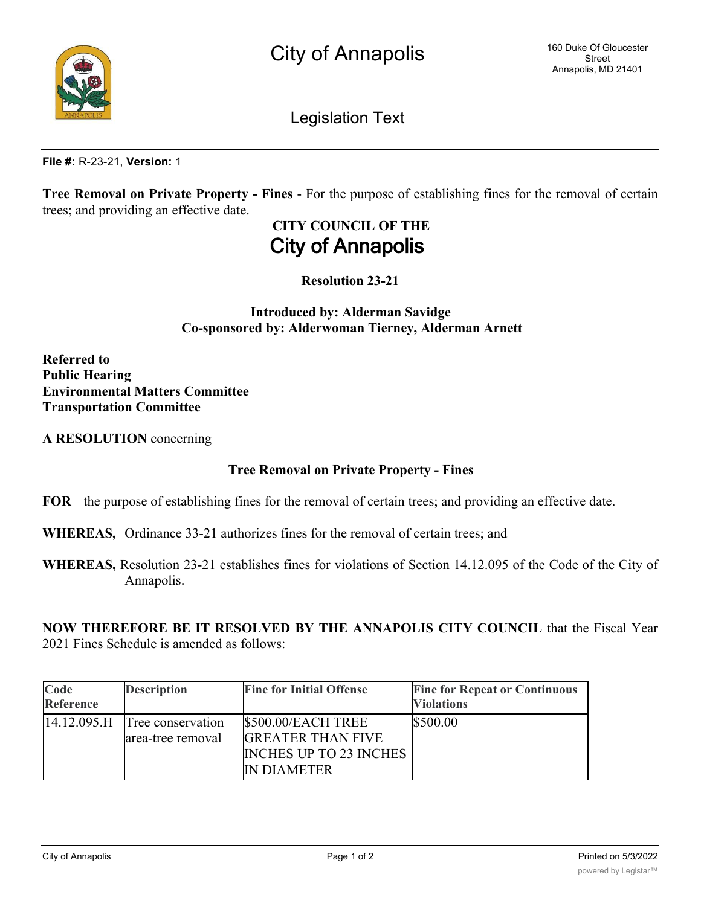

Legislation Text

**File #:** R-23-21, **Version:** 1

**Tree Removal on Private Property - Fines** - For the purpose of establishing fines for the removal of certain trees; and providing an effective date.

# **CITY COUNCIL OF THE City of Annapolis**

**Resolution 23-21**

**Introduced by: Alderman Savidge Co-sponsored by: Alderwoman Tierney, Alderman Arnett**

**Referred to Public Hearing Environmental Matters Committee Transportation Committee**

**A RESOLUTION** concerning

## **Tree Removal on Private Property - Fines**

**FOR** the purpose of establishing fines for the removal of certain trees; and providing an effective date.

**WHEREAS,** Ordinance 33-21 authorizes fines for the removal of certain trees; and

**WHEREAS,** Resolution 23-21 establishes fines for violations of Section 14.12.095 of the Code of the City of Annapolis.

**NOW THEREFORE BE IT RESOLVED BY THE ANNAPOLIS CITY COUNCIL** that the Fiscal Year 2021 Fines Schedule is amended as follows:

| Code<br>Reference   | <b>Description</b>                     | <b>Fine for Initial Offense</b>                                                                       | <b>Fine for Repeat or Continuous</b><br><b>Violations</b> |
|---------------------|----------------------------------------|-------------------------------------------------------------------------------------------------------|-----------------------------------------------------------|
| $14.12.095 \text{}$ | Tree conservation<br>area-tree removal | \$500.00/EACH TREE<br><b>GREATER THAN FIVE</b><br><b>INCHES UP TO 23 INCHES</b><br><b>IN DIAMETER</b> | \$500.00                                                  |